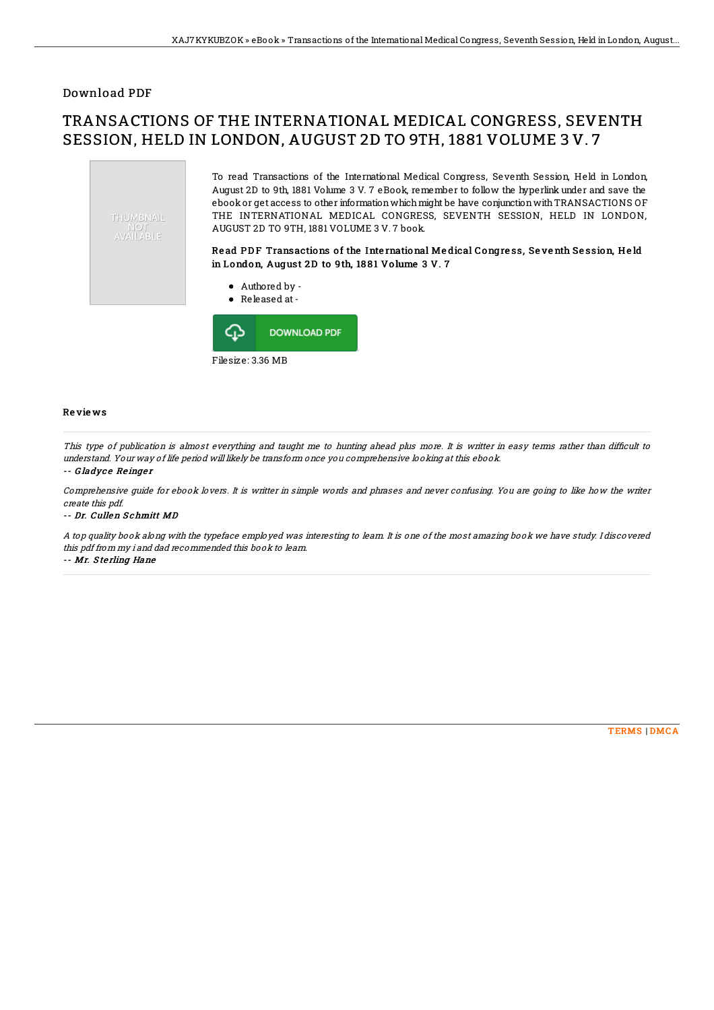### Download PDF

# TRANSACTIONS OF THE INTERNATIONAL MEDICAL CONGRESS, SEVENTH SESSION, HELD IN LONDON, AUGUST 2D TO 9TH, 1881 VOLUME 3 V. 7





#### Re vie ws

This type of publication is almost everything and taught me to hunting ahead plus more. It is writter in easy terms rather than difficult to understand. Your way of life period will likely be transform once you comprehensive looking at this ebook.

#### -- Gladyce Reinger

Comprehensive guide for ebook lovers. It is writter in simple words and phrases and never confusing. You are going to like how the writer create this pdf.

-- Dr. Cullen S chmitt MD

A top quality book along with the typeface employed was interesting to learn. It is one of the most amazing book we have study. I discovered this pdf from my i and dad recommended this book to learn.

-- Mr. S te rling Hane